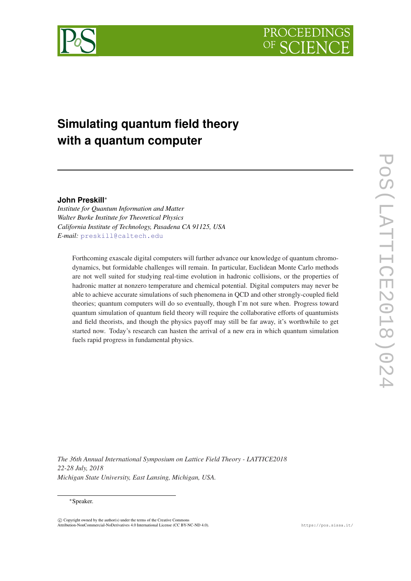



# **Simulating quantum field theory with a quantum computer**

## **John Preskill**<sup>∗</sup>

*Institute for Quantum Information and Matter Walter Burke Institute for Theoretical Physics California Institute of Technology, Pasadena CA 91125, USA E-mail:* [preskill@caltech.edu](mailto:preskill@caltech.edu)

Forthcoming exascale digital computers will further advance our knowledge of quantum chromodynamics, but formidable challenges will remain. In particular, Euclidean Monte Carlo methods are not well suited for studying real-time evolution in hadronic collisions, or the properties of hadronic matter at nonzero temperature and chemical potential. Digital computers may never be able to achieve accurate simulations of such phenomena in QCD and other strongly-coupled field theories; quantum computers will do so eventually, though I'm not sure when. Progress toward quantum simulation of quantum field theory will require the collaborative efforts of quantumists and field theorists, and though the physics payoff may still be far away, it's worthwhile to get started now. Today's research can hasten the arrival of a new era in which quantum simulation fuels rapid progress in fundamental physics.

*The 36th Annual International Symposium on Lattice Field Theory - LATTICE2018 22-28 July, 2018 Michigan State University, East Lansing, Michigan, USA.*

## <sup>∗</sup>Speaker.

 $\overline{c}$  Copyright owned by the author(s) under the terms of the Creative Commons Attribution-NonCommercial-NoDerivatives 4.0 International License (CC BY-NC-ND 4.0). https://pos.sissa.it/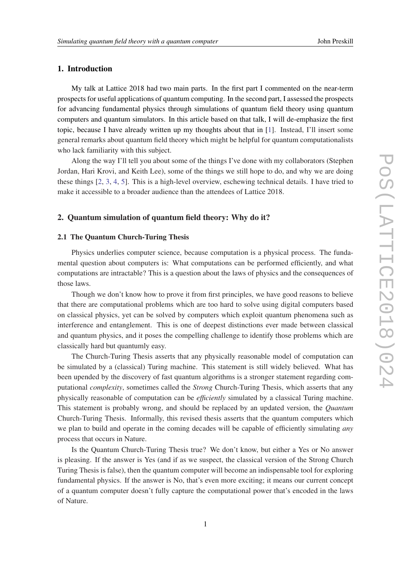## 1. Introduction

My talk at Lattice 2018 had two main parts. In the first part I commented on the near-term prospects for useful applications of quantum computing. In the second part, I assessed the prospects for advancing fundamental physics through simulations of quantum field theory using quantum computers and quantum simulators. In this article based on that talk, I will de-emphasize the first topic, because I have already written up my thoughts about that in [\[1\]](#page-18-0). Instead, I'll insert some general remarks about quantum field theory which might be helpful for quantum computationalists who lack familiarity with this subject.

Along the way I'll tell you about some of the things I've done with my collaborators (Stephen Jordan, Hari Krovi, and Keith Lee), some of the things we still hope to do, and why we are doing these things [\[2,](#page-19-0) [3,](#page-19-0) [4,](#page-19-0) [5](#page-19-0)]. This is a high-level overview, eschewing technical details. I have tried to make it accessible to a broader audience than the attendees of Lattice 2018.

## 2. Quantum simulation of quantum field theory: Why do it?

## 2.1 The Quantum Church-Turing Thesis

Physics underlies computer science, because computation is a physical process. The fundamental question about computers is: What computations can be performed efficiently, and what computations are intractable? This is a question about the laws of physics and the consequences of those laws.

Though we don't know how to prove it from first principles, we have good reasons to believe that there are computational problems which are too hard to solve using digital computers based on classical physics, yet can be solved by computers which exploit quantum phenomena such as interference and entanglement. This is one of deepest distinctions ever made between classical and quantum physics, and it poses the compelling challenge to identify those problems which are classically hard but quantumly easy.

The Church-Turing Thesis asserts that any physically reasonable model of computation can be simulated by a (classical) Turing machine. This statement is still widely believed. What has been upended by the discovery of fast quantum algorithms is a stronger statement regarding computational *complexity*, sometimes called the *Strong* Church-Turing Thesis, which asserts that any physically reasonable of computation can be *efficiently* simulated by a classical Turing machine. This statement is probably wrong, and should be replaced by an updated version, the *Quantum* Church-Turing Thesis. Informally, this revised thesis asserts that the quantum computers which we plan to build and operate in the coming decades will be capable of efficiently simulating *any* process that occurs in Nature.

Is the Quantum Church-Turing Thesis true? We don't know, but either a Yes or No answer is pleasing. If the answer is Yes (and if as we suspect, the classical version of the Strong Church Turing Thesis is false), then the quantum computer will become an indispensable tool for exploring fundamental physics. If the answer is No, that's even more exciting; it means our current concept of a quantum computer doesn't fully capture the computational power that's encoded in the laws of Nature.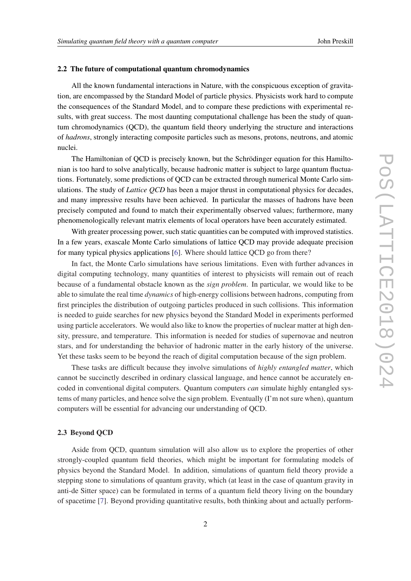#### 2.2 The future of computational quantum chromodynamics

All the known fundamental interactions in Nature, with the conspicuous exception of gravitation, are encompassed by the Standard Model of particle physics. Physicists work hard to compute the consequences of the Standard Model, and to compare these predictions with experimental results, with great success. The most daunting computational challenge has been the study of quantum chromodynamics (QCD), the quantum field theory underlying the structure and interactions of *hadrons*, strongly interacting composite particles such as mesons, protons, neutrons, and atomic nuclei.

The Hamiltonian of QCD is precisely known, but the Schrödinger equation for this Hamiltonian is too hard to solve analytically, because hadronic matter is subject to large quantum fluctuations. Fortunately, some predictions of QCD can be extracted through numerical Monte Carlo simulations. The study of *Lattice QCD* has been a major thrust in computational physics for decades, and many impressive results have been achieved. In particular the masses of hadrons have been precisely computed and found to match their experimentally observed values; furthermore, many phenomenologically relevant matrix elements of local operators have been accurately estimated.

With greater processing power, such static quantities can be computed with improved statistics. In a few years, exascale Monte Carlo simulations of lattice QCD may provide adequate precision for many typical physics applications [\[6\]](#page-19-0). Where should lattice QCD go from there?

In fact, the Monte Carlo simulations have serious limitations. Even with further advances in digital computing technology, many quantities of interest to physicists will remain out of reach because of a fundamental obstacle known as the *sign problem*. In particular, we would like to be able to simulate the real time *dynamics* of high-energy collisions between hadrons, computing from first principles the distribution of outgoing particles produced in such collisions. This information is needed to guide searches for new physics beyond the Standard Model in experiments performed using particle accelerators. We would also like to know the properties of nuclear matter at high density, pressure, and temperature. This information is needed for studies of supernovae and neutron stars, and for understanding the behavior of hadronic matter in the early history of the universe. Yet these tasks seem to be beyond the reach of digital computation because of the sign problem.

These tasks are difficult because they involve simulations of *highly entangled matter*, which cannot be succinctly described in ordinary classical language, and hence cannot be accurately encoded in conventional digital computers. Quantum computers *can* simulate highly entangled systems of many particles, and hence solve the sign problem. Eventually (I'm not sure when), quantum computers will be essential for advancing our understanding of QCD.

#### 2.3 Beyond QCD

Aside from QCD, quantum simulation will also allow us to explore the properties of other strongly-coupled quantum field theories, which might be important for formulating models of physics beyond the Standard Model. In addition, simulations of quantum field theory provide a stepping stone to simulations of quantum gravity, which (at least in the case of quantum gravity in anti-de Sitter space) can be formulated in terms of a quantum field theory living on the boundary of spacetime [\[7\]](#page-19-0). Beyond providing quantitative results, both thinking about and actually perform-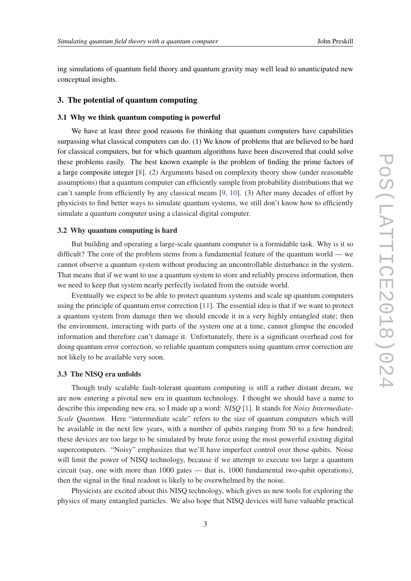ing simulations of quantum field theory and quantum gravity may well lead to unanticipated new conceptual insights.

#### 3. The potential of quantum computing

## 3.1 Why we think quantum computing is powerful

We have at least three good reasons for thinking that quantum computers have capabilities surpassing what classical computers can do. (1) We know of problems that are believed to be hard for classical computers, but for which quantum algorithms have been discovered that could solve these problems easily. The best known example is the problem of finding the prime factors of a large composite integer [\[8\]](#page-19-0). (2) Arguments based on complexity theory show (under reasonable assumptions) that a quantum computer can efficiently sample from probability distributions that we can't sample from efficiently by any classical means [\[9,](#page-19-0) [10\]](#page-19-0). (3) After many decades of effort by physicists to find better ways to simulate quantum systems, we still don't know how to efficiently simulate a quantum computer using a classical digital computer.

## 3.2 Why quantum computing is hard

But building and operating a large-scale quantum computer is a formidable task. Why is it so difficult? The core of the problem stems from a fundamental feature of the quantum world — we cannot observe a quantum system without producing an uncontrollable disturbance in the system. That means that if we want to use a quantum system to store and reliably process information, then we need to keep that system nearly perfectly isolated from the outside world.

Eventually we expect to be able to protect quantum systems and scale up quantum computers using the principle of quantum error correction [\[11\]](#page-19-0). The essential idea is that if we want to protect a quantum system from damage then we should encode it in a very highly entangled state; then the environment, interacting with parts of the system one at a time, cannot glimpse the encoded information and therefore can't damage it. Unfortunately, there is a significant overhead cost for doing quantum error correction, so reliable quantum computers using quantum error correction are not likely to be available very soon.

#### 3.3 The NISQ era unfolds

Though truly scalable fault-tolerant quantum computing is still a rather distant dream, we are now entering a pivotal new era in quantum technology. I thought we should have a name to describe this impending new era, so I made up a word: *NISQ* [\[1\]](#page-18-0). It stands for *Noisy Intermediate-Scale Quantum*. Here "intermediate scale" refers to the size of quantum computers which will be available in the next few years, with a number of qubits ranging from 50 to a few hundred; these devices are too large to be simulated by brute force using the most powerful existing digital supercomputers. "Noisy" emphasizes that we'll have imperfect control over those qubits. Noise will limit the power of NISQ technology, because if we attempt to execute too large a quantum circuit (say, one with more than 1000 gates — that is, 1000 fundamental two-qubit operations), then the signal in the final readout is likely to be overwhelmed by the noise.

Physicists are excited about this NISQ technology, which gives us new tools for exploring the physics of many entangled particles. We also hope that NISQ devices will have valuable practical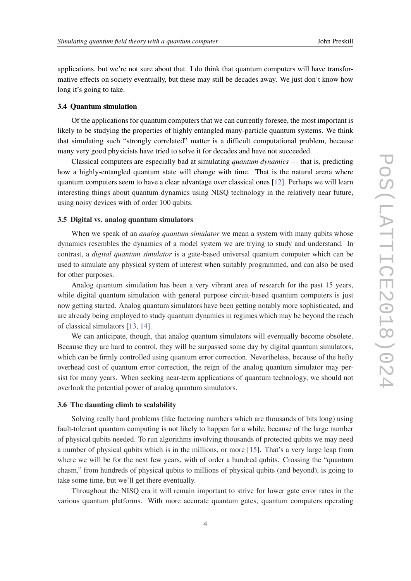applications, but we're not sure about that. I do think that quantum computers will have transformative effects on society eventually, but these may still be decades away. We just don't know how long it's going to take.

#### 3.4 Quantum simulation

Of the applications for quantum computers that we can currently foresee, the most important is likely to be studying the properties of highly entangled many-particle quantum systems. We think that simulating such "strongly correlated" matter is a difficult computational problem, because many very good physicists have tried to solve it for decades and have not succeeded.

Classical computers are especially bad at simulating *quantum dynamics* — that is, predicting how a highly-entangled quantum state will change with time. That is the natural arena where quantum computers seem to have a clear advantage over classical ones [\[12](#page-19-0)]. Perhaps we will learn interesting things about quantum dynamics using NISQ technology in the relatively near future, using noisy devices with of order 100 qubits.

#### 3.5 Digital vs. analog quantum simulators

When we speak of an *analog quantum simulator* we mean a system with many qubits whose dynamics resembles the dynamics of a model system we are trying to study and understand. In contrast, a *digital quantum simulator* is a gate-based universal quantum computer which can be used to simulate any physical system of interest when suitably programmed, and can also be used for other purposes.

Analog quantum simulation has been a very vibrant area of research for the past 15 years, while digital quantum simulation with general purpose circuit-based quantum computers is just now getting started. Analog quantum simulators have been getting notably more sophisticated, and are already being employed to study quantum dynamics in regimes which may be beyond the reach of classical simulators [[13,](#page-19-0) [14\]](#page-19-0).

We can anticipate, though, that analog quantum simulators will eventually become obsolete. Because they are hard to control, they will be surpassed some day by digital quantum simulators, which can be firmly controlled using quantum error correction. Nevertheless, because of the hefty overhead cost of quantum error correction, the reign of the analog quantum simulator may persist for many years. When seeking near-term applications of quantum technology, we should not overlook the potential power of analog quantum simulators.

#### 3.6 The daunting climb to scalability

Solving really hard problems (like factoring numbers which are thousands of bits long) using fault-tolerant quantum computing is not likely to happen for a while, because of the large number of physical qubits needed. To run algorithms involving thousands of protected qubits we may need a number of physical qubits which is in the millions, or more [[15](#page-19-0)]. That's a very large leap from where we will be for the next few years, with of order a hundred qubits. Crossing the "quantum chasm," from hundreds of physical qubits to millions of physical qubits (and beyond), is going to take some time, but we'll get there eventually.

Throughout the NISQ era it will remain important to strive for lower gate error rates in the various quantum platforms. With more accurate quantum gates, quantum computers operating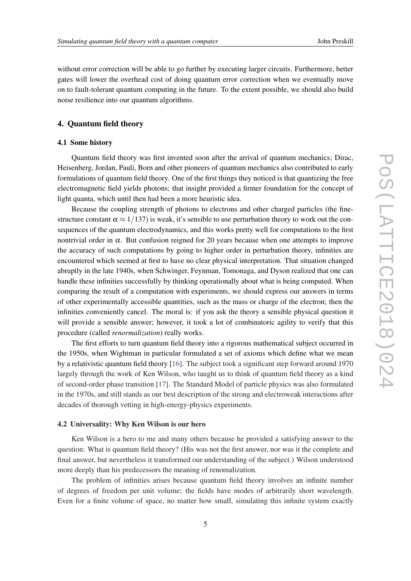without error correction will be able to go further by executing larger circuits. Furthermore, better gates will lower the overhead cost of doing quantum error correction when we eventually move on to fault-tolerant quantum computing in the future. To the extent possible, we should also build noise resilience into our quantum algorithms.

## 4. Quantum field theory

## 4.1 Some history

Quantum field theory was first invented soon after the arrival of quantum mechanics; Dirac, Heisenberg, Jordan, Pauli, Born and other pioneers of quantum mechanics also contributed to early formulations of quantum field theory. One of the first things they noticed is that quantizing the free electromagnetic field yields photons; that insight provided a firmer foundation for the concept of light quanta, which until then had been a more heuristic idea.

Because the coupling strength of photons to electrons and other charged particles (the finestructure constant  $\alpha \approx 1/137$ ) is weak, it's sensible to use perturbation theory to work out the consequences of the quantum electrodynamics, and this works pretty well for computations to the first nontrivial order in  $\alpha$ . But confusion reigned for 20 years because when one attempts to improve the accuracy of such computations by going to higher order in perturbation theory, infinities are encountered which seemed at first to have no clear physical interpretation. That situation changed abruptly in the late 1940s, when Schwinger, Feynman, Tomonaga, and Dyson realized that one can handle these infinities successfully by thinking operationally about what is being computed. When comparing the result of a computation with experiments, we should express our answers in terms of other experimentally accessible quantities, such as the mass or charge of the electron; then the infinities conveniently cancel. The moral is: if you ask the theory a sensible physical question it will provide a sensible answer; however, it took a lot of combinatoric agility to verify that this procedure (called *renormalization*) really works.

The first efforts to turn quantum field theory into a rigorous mathematical subject occurred in the 1950s, when Wightman in particular formulated a set of axioms which define what we mean by a relativistic quantum field theory [\[16](#page-19-0)]. The subject took a significant step forward around 1970 largely through the work of Ken Wilson, who taught us to think of quantum field theory as a kind of second-order phase transition [\[17](#page-19-0)]. The Standard Model of particle physics was also formulated in the 1970s, and still stands as our best description of the strong and electroweak interactions after decades of thorough vetting in high-energy-physics experiments.

#### 4.2 Universality: Why Ken Wilson is our hero

Ken Wilson is a hero to me and many others because he provided a satisfying answer to the question: What is quantum field theory? (His was not the first answer, nor was it the complete and final answer, but nevertheless it transformed our understanding of the subject.) Wilson understood more deeply than his predecessors the meaning of renomalization.

The problem of infinities arises because quantum field theory involves an infinite number of degrees of freedom per unit volume; the fields have modes of arbitrarily short wavelength. Even for a finite volume of space, no matter how small, simulating this infinite system exactly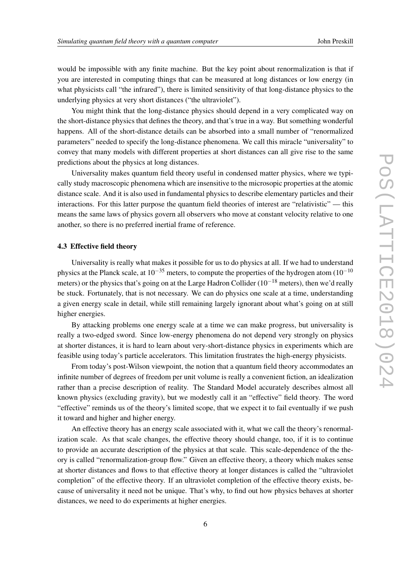would be impossible with any finite machine. But the key point about renormalization is that if you are interested in computing things that can be measured at long distances or low energy (in what physicists call "the infrared"), there is limited sensitivity of that long-distance physics to the underlying physics at very short distances ("the ultraviolet").

You might think that the long-distance physics should depend in a very complicated way on the short-distance physics that defines the theory, and that's true in a way. But something wonderful happens. All of the short-distance details can be absorbed into a small number of "renormalized parameters" needed to specify the long-distance phenomena. We call this miracle "universality" to convey that many models with different properties at short distances can all give rise to the same predictions about the physics at long distances.

Universality makes quantum field theory useful in condensed matter physics, where we typically study macroscopic phenomena which are insensitive to the microsopic properties at the atomic distance scale. And it is also used in fundamental physics to describe elementary particles and their interactions. For this latter purpose the quantum field theories of interest are "relativistic" — this means the same laws of physics govern all observers who move at constant velocity relative to one another, so there is no preferred inertial frame of reference.

## 4.3 Effective field theory

Universality is really what makes it possible for us to do physics at all. If we had to understand physics at the Planck scale, at  $10^{-35}$  meters, to compute the properties of the hydrogen atom  $(10^{-10}$ meters) or the physics that's going on at the Large Hadron Collider (10<sup>-18</sup> meters), then we'd really be stuck. Fortunately, that is not necessary. We can do physics one scale at a time, understanding a given energy scale in detail, while still remaining largely ignorant about what's going on at still higher energies.

By attacking problems one energy scale at a time we can make progress, but universality is really a two-edged sword. Since low-energy phenomena do not depend very strongly on physics at shorter distances, it is hard to learn about very-short-distance physics in experiments which are feasible using today's particle accelerators. This limitation frustrates the high-energy physicists.

From today's post-Wilson viewpoint, the notion that a quantum field theory accommodates an infinite number of degrees of freedom per unit volume is really a convenient fiction, an idealization rather than a precise description of reality. The Standard Model accurately describes almost all known physics (excluding gravity), but we modestly call it an "effective" field theory. The word "effective" reminds us of the theory's limited scope, that we expect it to fail eventually if we push it toward and higher and higher energy.

An effective theory has an energy scale associated with it, what we call the theory's renormalization scale. As that scale changes, the effective theory should change, too, if it is to continue to provide an accurate description of the physics at that scale. This scale-dependence of the theory is called "renormalization-group flow." Given an effective theory, a theory which makes sense at shorter distances and flows to that effective theory at longer distances is called the "ultraviolet completion" of the effective theory. If an ultraviolet completion of the effective theory exists, because of universality it need not be unique. That's why, to find out how physics behaves at shorter distances, we need to do experiments at higher energies.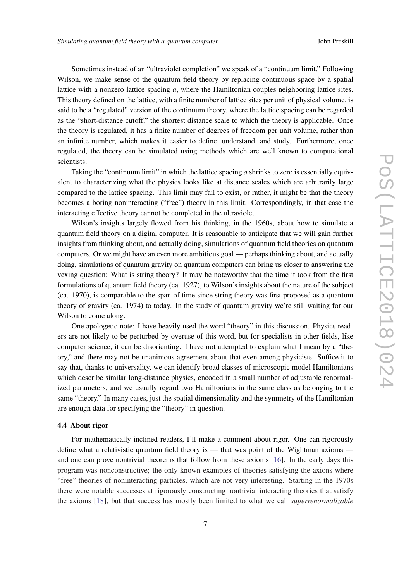Sometimes instead of an "ultraviolet completion" we speak of a "continuum limit." Following Wilson, we make sense of the quantum field theory by replacing continuous space by a spatial lattice with a nonzero lattice spacing *a*, where the Hamiltonian couples neighboring lattice sites. This theory defined on the lattice, with a finite number of lattice sites per unit of physical volume, is said to be a "regulated" version of the continuum theory, where the lattice spacing can be regarded as the "short-distance cutoff," the shortest distance scale to which the theory is applicable. Once the theory is regulated, it has a finite number of degrees of freedom per unit volume, rather than an infinite number, which makes it easier to define, understand, and study. Furthermore, once regulated, the theory can be simulated using methods which are well known to computational scientists.

Taking the "continuum limit" in which the lattice spacing *a* shrinks to zero is essentially equivalent to characterizing what the physics looks like at distance scales which are arbitrarily large compared to the lattice spacing. This limit may fail to exist, or rather, it might be that the theory becomes a boring noninteracting ("free") theory in this limit. Correspondingly, in that case the interacting effective theory cannot be completed in the ultraviolet.

Wilson's insights largely flowed from his thinking, in the 1960s, about how to simulate a quantum field theory on a digital computer. It is reasonable to anticipate that we will gain further insights from thinking about, and actually doing, simulations of quantum field theories on quantum computers. Or we might have an even more ambitious goal — perhaps thinking about, and actually doing, simulations of quantum gravity on quantum computers can bring us closer to answering the vexing question: What is string theory? It may be noteworthy that the time it took from the first formulations of quantum field theory (ca. 1927), to Wilson's insights about the nature of the subject (ca. 1970), is comparable to the span of time since string theory was first proposed as a quantum theory of gravity (ca. 1974) to today. In the study of quantum gravity we're still waiting for our Wilson to come along.

One apologetic note: I have heavily used the word "theory" in this discussion. Physics readers are not likely to be perturbed by overuse of this word, but for specialists in other fields, like computer science, it can be disorienting. I have not attempted to explain what I mean by a "theory," and there may not be unanimous agreement about that even among physicists. Suffice it to say that, thanks to universality, we can identify broad classes of microscopic model Hamiltonians which describe similar long-distance physics, encoded in a small number of adjustable renormalized parameters, and we usually regard two Hamiltonians in the same class as belonging to the same "theory." In many cases, just the spatial dimensionality and the symmetry of the Hamiltonian are enough data for specifying the "theory" in question.

## 4.4 About rigor

For mathematically inclined readers, I'll make a comment about rigor. One can rigorously define what a relativistic quantum field theory is — that was point of the Wightman axioms and one can prove nontrivial theorems that follow from these axioms [\[16](#page-19-0)]. In the early days this program was nonconstructive; the only known examples of theories satisfying the axions where "free" theories of noninteracting particles, which are not very interesting. Starting in the 1970s there were notable successes at rigorously constructing nontrivial interacting theories that satisfy the axioms [[18\]](#page-19-0), but that success has mostly been limited to what we call *superrenormalizable*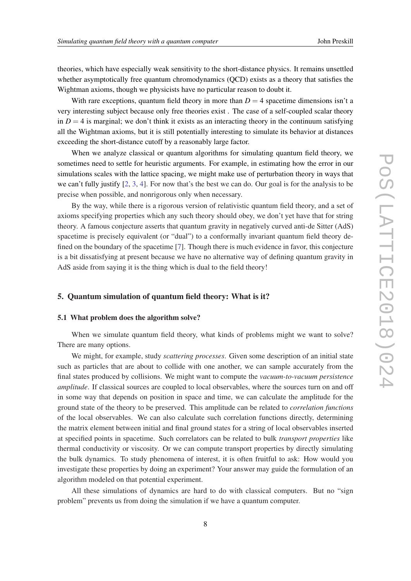theories, which have especially weak sensitivity to the short-distance physics. It remains unsettled whether asymptotically free quantum chromodynamics (QCD) exists as a theory that satisfies the Wightman axioms, though we physicists have no particular reason to doubt it.

With rare exceptions, quantum field theory in more than  $D = 4$  spacetime dimensions isn't a very interesting subject because only free theories exist . The case of a self-coupled scalar theory in  $D = 4$  is marginal; we don't think it exists as an interacting theory in the continuum satisfying all the Wightman axioms, but it is still potentially interesting to simulate its behavior at distances exceeding the short-distance cutoff by a reasonably large factor.

When we analyze classical or quantum algorithms for simulating quantum field theory, we sometimes need to settle for heuristic arguments. For example, in estimating how the error in our simulations scales with the lattice spacing, we might make use of perturbation theory in ways that we can't fully justify [[2](#page-19-0), [3](#page-19-0), [4\]](#page-19-0). For now that's the best we can do. Our goal is for the analysis to be precise when possible, and nonrigorous only when necessary.

By the way, while there is a rigorous version of relativistic quantum field theory, and a set of axioms specifying properties which any such theory should obey, we don't yet have that for string theory. A famous conjecture asserts that quantum gravity in negatively curved anti-de Sitter (AdS) spacetime is precisely equivalent (or "dual") to a conformally invariant quantum field theory defined on the boundary of the spacetime [\[7\]](#page-19-0). Though there is much evidence in favor, this conjecture is a bit dissatisfying at present because we have no alternative way of defining quantum gravity in AdS aside from saying it is the thing which is dual to the field theory!

## 5. Quantum simulation of quantum field theory: What is it?

#### 5.1 What problem does the algorithm solve?

When we simulate quantum field theory, what kinds of problems might we want to solve? There are many options.

We might, for example, study *scattering processes*. Given some description of an initial state such as particles that are about to collide with one another, we can sample accurately from the final states produced by collisions. We might want to compute the *vacuum-to-vacuum persistence amplitude*. If classical sources are coupled to local observables, where the sources turn on and off in some way that depends on position in space and time, we can calculate the amplitude for the ground state of the theory to be preserved. This amplitude can be related to *correlation functions* of the local observables. We can also calculate such correlation functions directly, determining the matrix element between initial and final ground states for a string of local observables inserted at specified points in spacetime. Such correlators can be related to bulk *transport properties* like thermal conductivity or viscosity. Or we can compute transport properties by directly simulating the bulk dynamics. To study phenomena of interest, it is often fruitful to ask: How would you investigate these properties by doing an experiment? Your answer may guide the formulation of an algorithm modeled on that potential experiment.

All these simulations of dynamics are hard to do with classical computers. But no "sign problem" prevents us from doing the simulation if we have a quantum computer.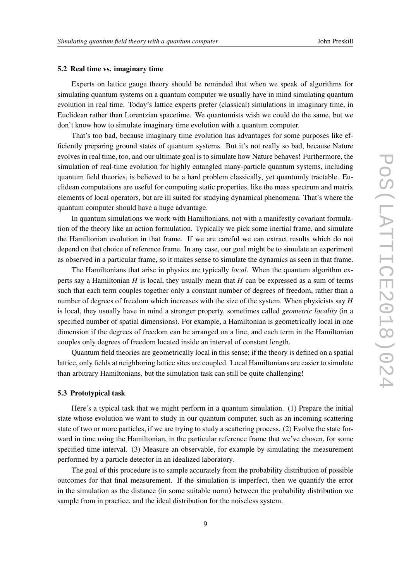#### 5.2 Real time vs. imaginary time

Experts on lattice gauge theory should be reminded that when we speak of algorithms for simulating quantum systems on a quantum computer we usually have in mind simulating quantum evolution in real time. Today's lattice experts prefer (classical) simulations in imaginary time, in Euclidean rather than Lorentzian spacetime. We quantumists wish we could do the same, but we don't know how to simulate imaginary time evolution with a quantum computer.

That's too bad, because imaginary time evolution has advantages for some purposes like efficiently preparing ground states of quantum systems. But it's not really so bad, because Nature evolves in real time, too, and our ultimate goal is to simulate how Nature behaves! Furthermore, the simulation of real-time evolution for highly entangled many-particle quantum systems, including quantum field theories, is believed to be a hard problem classically, yet quantumly tractable. Euclidean computations are useful for computing static properties, like the mass spectrum and matrix elements of local operators, but are ill suited for studying dynamical phenomena. That's where the quantum computer should have a huge advantage.

In quantum simulations we work with Hamiltonians, not with a manifestly covariant formulation of the theory like an action formulation. Typically we pick some inertial frame, and simulate the Hamiltonian evolution in that frame. If we are careful we can extract results which do not depend on that choice of reference frame. In any case, our goal might be to simulate an experiment as observed in a particular frame, so it makes sense to simulate the dynamics as seen in that frame.

The Hamiltonians that arise in physics are typically *local*. When the quantum algorithm experts say a Hamiltonian *H* is local, they usually mean that *H* can be expressed as a sum of terms such that each term couples together only a constant number of degrees of freedom, rather than a number of degrees of freedom which increases with the size of the system. When physicists say *H* is local, they usually have in mind a stronger property, sometimes called *geometric locality* (in a specified number of spatial dimensions). For example, a Hamiltonian is geometrically local in one dimension if the degrees of freedom can be arranged on a line, and each term in the Hamiltonian couples only degrees of freedom located inside an interval of constant length.

Quantum field theories are geometrically local in this sense; if the theory is defined on a spatial lattice, only fields at neighboring lattice sites are coupled. Local Hamiltonians are easier to simulate than arbitrary Hamiltonians, but the simulation task can still be quite challenging!

#### 5.3 Prototypical task

Here's a typical task that we might perform in a quantum simulation. (1) Prepare the initial state whose evolution we want to study in our quantum computer, such as an incoming scattering state of two or more particles, if we are trying to study a scattering process. (2) Evolve the state forward in time using the Hamiltonian, in the particular reference frame that we've chosen, for some specified time interval. (3) Measure an observable, for example by simulating the measurement performed by a particle detector in an idealized laboratory.

The goal of this procedure is to sample accurately from the probability distribution of possible outcomes for that final measurement. If the simulation is imperfect, then we quantify the error in the simulation as the distance (in some suitable norm) between the probability distribution we sample from in practice, and the ideal distribution for the noiseless system.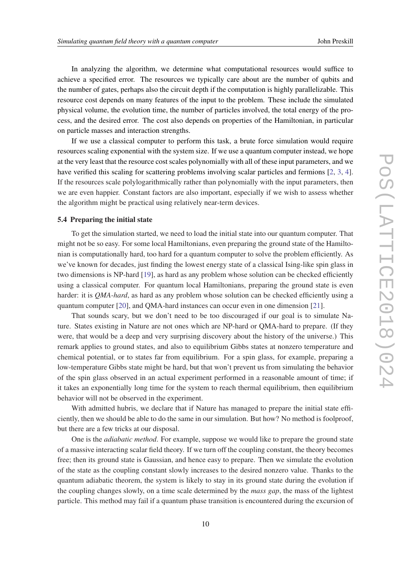In analyzing the algorithm, we determine what computational resources would suffice to achieve a specified error. The resources we typically care about are the number of qubits and the number of gates, perhaps also the circuit depth if the computation is highly parallelizable. This resource cost depends on many features of the input to the problem. These include the simulated physical volume, the evolution time, the number of particles involved, the total energy of the process, and the desired error. The cost also depends on properties of the Hamiltonian, in particular on particle masses and interaction strengths.

If we use a classical computer to perform this task, a brute force simulation would require resources scaling exponential with the system size. If we use a quantum computer instead, we hope at the very least that the resource cost scales polynomially with all of these input parameters, and we have verified this scaling for scattering problems involving scalar particles and fermions [[2](#page-19-0), [3](#page-19-0), [4\]](#page-19-0). If the resources scale polylogarithmically rather than polynomially with the input parameters, then we are even happier. Constant factors are also important, especially if we wish to assess whether the algorithm might be practical using relatively near-term devices.

#### 5.4 Preparing the initial state

To get the simulation started, we need to load the initial state into our quantum computer. That might not be so easy. For some local Hamiltonians, even preparing the ground state of the Hamiltonian is computationally hard, too hard for a quantum computer to solve the problem efficiently. As we've known for decades, just finding the lowest energy state of a classical Ising-like spin glass in two dimensions is NP-hard [[19\]](#page-19-0), as hard as any problem whose solution can be checked efficiently using a classical computer. For quantum local Hamiltonians, preparing the ground state is even harder: it is *QMA-hard*, as hard as any problem whose solution can be checked efficiently using a quantum computer [[20\]](#page-19-0), and QMA-hard instances can occur even in one dimension [\[21](#page-19-0)].

That sounds scary, but we don't need to be too discouraged if our goal is to simulate Nature. States existing in Nature are not ones which are NP-hard or QMA-hard to prepare. (If they were, that would be a deep and very surprising discovery about the history of the universe.) This remark applies to ground states, and also to equilibrium Gibbs states at nonzero temperature and chemical potential, or to states far from equilibrium. For a spin glass, for example, preparing a low-temperature Gibbs state might be hard, but that won't prevent us from simulating the behavior of the spin glass observed in an actual experiment performed in a reasonable amount of time; if it takes an exponentially long time for the system to reach thermal equilibrium, then equilibrium behavior will not be observed in the experiment.

With admitted hubris, we declare that if Nature has managed to prepare the initial state efficiently, then we should be able to do the same in our simulation. But how? No method is foolproof, but there are a few tricks at our disposal.

One is the *adiabatic method*. For example, suppose we would like to prepare the ground state of a massive interacting scalar field theory. If we turn off the coupling constant, the theory becomes free; then its ground state is Gaussian, and hence easy to prepare. Then we simulate the evolution of the state as the coupling constant slowly increases to the desired nonzero value. Thanks to the quantum adiabatic theorem, the system is likely to stay in its ground state during the evolution if the coupling changes slowly, on a time scale determined by the *mass gap*, the mass of the lightest particle. This method may fail if a quantum phase transition is encountered during the excursion of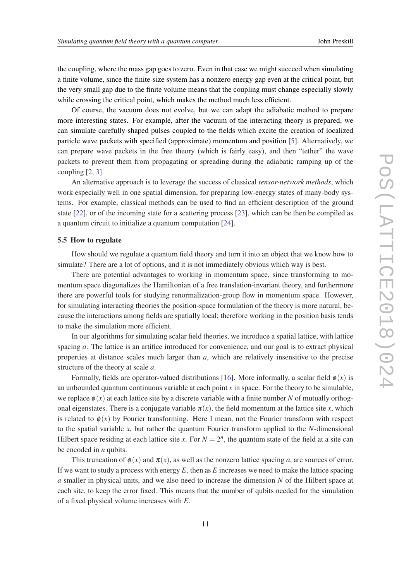the coupling, where the mass gap goes to zero. Even in that case we might succeed when simulating a finite volume, since the finite-size system has a nonzero energy gap even at the critical point, but the very small gap due to the finite volume means that the coupling must change especially slowly while crossing the critical point, which makes the method much less efficient.

Of course, the vacuum does not evolve, but we can adapt the adiabatic method to prepare more interesting states. For example, after the vacuum of the interacting theory is prepared, we can simulate carefully shaped pulses coupled to the fields which excite the creation of localized particle wave packets with specified (approximate) momentum and position [\[5\]](#page-19-0). Alternatively, we can prepare wave packets in the free theory (which is fairly easy), and then "tether" the wave packets to prevent them from propagating or spreading during the adiabatic ramping up of the coupling [[2](#page-19-0), [3](#page-19-0)].

An alternative approach is to leverage the success of classical *tensor-network methods*, which work especially well in one spatial dimension, for preparing low-energy states of many-body systems. For example, classical methods can be used to find an efficient description of the ground state [[22\]](#page-19-0), or of the incoming state for a scattering process [\[23](#page-19-0)], which can be then be compiled as a quantum circuit to initialize a quantum computation [[24\]](#page-19-0).

## 5.5 How to regulate

How should we regulate a quantum field theory and turn it into an object that we know how to simulate? There are a lot of options, and it is not immediately obvious which way is best.

There are potential advantages to working in momentum space, since transforming to momentum space diagonalizes the Hamiltonian of a free translation-invariant theory, and furthermore there are powerful tools for studying renormalization-group flow in momentum space. However, for simulating interacting theories the position-space formulation of the theory is more natural, because the interactions among fields are spatially local; therefore working in the position basis tends to make the simulation more efficient.

In our algorithms for simulating scalar field theories, we introduce a spatial lattice, with lattice spacing *a*. The lattice is an artifice introduced for convenience, and our goal is to extract physical properties at distance scales much larger than *a*, which are relatively insensitive to the precise structure of the theory at scale *a*.

Formally, fields are operator-valued distributions [[16\]](#page-19-0). More informally, a scalar field  $\phi(x)$  is an unbounded quantum continuous variable at each point  $x$  in space. For the theory to be simulable, we replace  $\phi(x)$  at each lattice site by a discrete variable with a finite number *N* of mutually orthogonal eigenstates. There is a conjugate variable  $\pi(x)$ , the field momentum at the lattice site x, which is related to  $\phi(x)$  by Fourier transforming. Here I mean, not the Fourier transform with respect to the spatial variable *x*, but rather the quantum Fourier transform applied to the *N*-dimensional Hilbert space residing at each lattice site *x*. For  $N = 2<sup>n</sup>$ , the quantum state of the field at a site can be encoded in *n* qubits.

This truncation of  $\phi(x)$  and  $\pi(x)$ , as well as the nonzero lattice spacing *a*, are sources of error. If we want to study a process with energy *E*, then as *E* increases we need to make the lattice spacing *a* smaller in physical units, and we also need to increase the dimension *N* of the Hilbert space at each site, to keep the error fixed. This means that the number of qubits needed for the simulation of a fixed physical volume increases with *E*.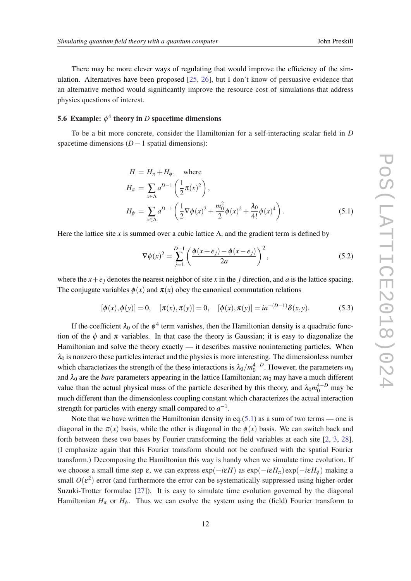There may be more clever ways of regulating that would improve the efficiency of the simulation. Alternatives have been proposed [\[25](#page-19-0), [26\]](#page-20-0), but I don't know of persuasive evidence that an alternative method would significantly improve the resource cost of simulations that address physics questions of interest.

# **5.6** Example:  $\phi^4$  theory in *D* spacetime dimensions

To be a bit more concrete, consider the Hamiltonian for a self-interacting scalar field in *D* spacetime dimensions (*D*−1 spatial dimensions):

$$
H = H_{\pi} + H_{\phi}, \text{ where}
$$
  
\n
$$
H_{\pi} = \sum_{x \in \Lambda} a^{D-1} \left( \frac{1}{2} \pi(x)^2 \right),
$$
  
\n
$$
H_{\phi} = \sum_{x \in \Lambda} a^{D-1} \left( \frac{1}{2} \nabla \phi(x)^2 + \frac{m_0^2}{2} \phi(x)^2 + \frac{\lambda_0}{4!} \phi(x)^4 \right).
$$
\n(5.1)

Here the lattice site *x* is summed over a cubic lattice  $\Lambda$ , and the gradient term is defined by

$$
\nabla \phi(x)^2 = \sum_{j=1}^{D-1} \left( \frac{\phi(x+e_j) - \phi(x-e_j)}{2a} \right)^2,
$$
\n(5.2)

where the  $x + e_j$  denotes the nearest neighbor of site x in the *j* direction, and *a* is the lattice spacing. The conjugate variables  $\phi(x)$  and  $\pi(x)$  obey the canonical commutation relations

$$
[\phi(x), \phi(y)] = 0, \quad [\pi(x), \pi(y)] = 0, \quad [\phi(x), \pi(y)] = ia^{-(D-1)}\delta(x, y). \tag{5.3}
$$

If the coefficient  $\lambda_0$  of the  $\phi^4$  term vanishes, then the Hamiltonian density is a quadratic function of the  $\phi$  and  $\pi$  variables. In that case the theory is Gaussian; it is easy to diagonalize the Hamiltonian and solve the theory exactly — it describes massive noninteracting particles. When  $\lambda_0$  is nonzero these particles interact and the physics is more interesting. The dimensionless number which characterizes the strength of the these interactions is  $\lambda_0/m_0^{4-D}$ . However, the parameters  $m_0$ and  $\lambda_0$  are the *bare* parameters appearing in the lattice Hamiltonian;  $m_0$  may have a much different value than the actual physical mass of the particle described by this theory, and  $\lambda_0 m_0^{4-D}$  may be much different than the dimensionless coupling constant which characterizes the actual interaction strength for particles with energy small compared to  $a^{-1}$ .

Note that we have written the Hamiltonian density in eq.(5.1) as a sum of two terms — one is diagonal in the  $\pi(x)$  basis, while the other is diagonal in the  $\phi(x)$  basis. We can switch back and forth between these two bases by Fourier transforming the field variables at each site [\[2,](#page-19-0) [3](#page-19-0), [28\]](#page-20-0). (I emphasize again that this Fourier transform should not be confused with the spatial Fourier transform.) Decomposing the Hamiltonian this way is handy when we simulate time evolution. If we choose a small time step ε, we can express  $exp(-iεH)$  as  $exp(-iεHπ)exp(-iεHφ)$  making a small  $O(\varepsilon^2)$  error (and furthermore the error can be systematically suppressed using higher-order Suzuki-Trotter formulae [[27\]](#page-20-0)). It is easy to simulate time evolution governed by the diagonal Hamiltonian  $H_{\pi}$  or  $H_{\phi}$ . Thus we can evolve the system using the (field) Fourier transform to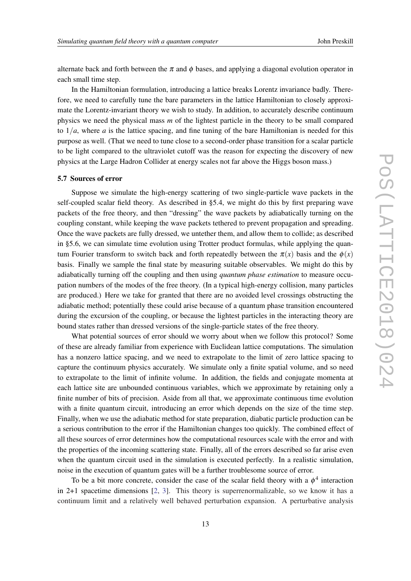alternate back and forth between the  $\pi$  and  $\phi$  bases, and applying a diagonal evolution operator in each small time step.

In the Hamiltonian formulation, introducing a lattice breaks Lorentz invariance badly. Therefore, we need to carefully tune the bare parameters in the lattice Hamiltonian to closely approximate the Lorentz-invariant theory we wish to study. In addition, to accurately describe continuum physics we need the physical mass *m* of the lightest particle in the theory to be small compared to  $1/a$ , where *a* is the lattice spacing, and fine tuning of the bare Hamiltonian is needed for this purpose as well. (That we need to tune close to a second-order phase transition for a scalar particle to be light compared to the ultraviolet cutoff was the reason for expecting the discovery of new physics at the Large Hadron Collider at energy scales not far above the Higgs boson mass.)

## 5.7 Sources of error

Suppose we simulate the high-energy scattering of two single-particle wave packets in the self-coupled scalar field theory. As described in §5.4, we might do this by first preparing wave packets of the free theory, and then "dressing" the wave packets by adiabatically turning on the coupling constant, while keeping the wave packets tethered to prevent propagation and spreading. Once the wave packets are fully dressed, we untether them, and allow them to collide; as described in §5.6, we can simulate time evolution using Trotter product formulas, while applying the quantum Fourier transform to switch back and forth repeatedly between the  $\pi(x)$  basis and the  $\phi(x)$ basis. Finally we sample the final state by measuring suitable observables. We might do this by adiabatically turning off the coupling and then using *quantum phase estimation* to measure occupation numbers of the modes of the free theory. (In a typical high-energy collision, many particles are produced.) Here we take for granted that there are no avoided level crossings obstructing the adiabatic method; potentially these could arise because of a quantum phase transition encountered during the excursion of the coupling, or because the lightest particles in the interacting theory are bound states rather than dressed versions of the single-particle states of the free theory.

What potential sources of error should we worry about when we follow this protocol? Some of these are already familiar from experience with Euclidean lattice computations. The simulation has a nonzero lattice spacing, and we need to extrapolate to the limit of zero lattice spacing to capture the continuum physics accurately. We simulate only a finite spatial volume, and so need to extrapolate to the limit of infinite volume. In addition, the fields and conjugate momenta at each lattice site are unbounded continuous variables, which we approximate by retaining only a finite number of bits of precision. Aside from all that, we approximate continuous time evolution with a finite quantum circuit, introducing an error which depends on the size of the time step. Finally, when we use the adiabatic method for state preparation, diabatic particle production can be a serious contribution to the error if the Hamiltonian changes too quickly. The combined effect of all these sources of error determines how the computational resources scale with the error and with the properties of the incoming scattering state. Finally, all of the errors described so far arise even when the quantum circuit used in the simulation is executed perfectly. In a realistic simulation, noise in the execution of quantum gates will be a further troublesome source of error.

To be a bit more concrete, consider the case of the scalar field theory with a  $\phi^4$  interaction in 2+1 spacetime dimensions [[2](#page-19-0), [3\]](#page-19-0). This theory is superrenormalizable, so we know it has a continuum limit and a relatively well behaved perturbation expansion. A perturbative analysis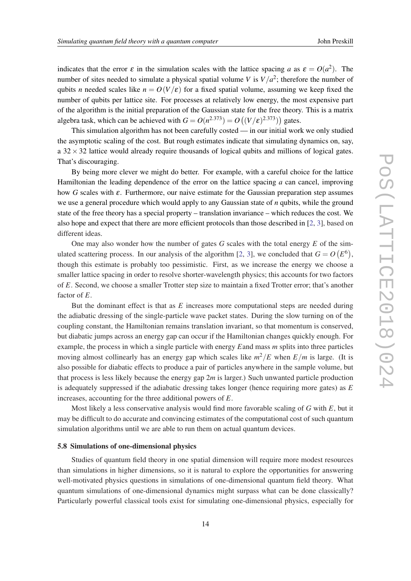indicates that the error  $\varepsilon$  in the simulation scales with the lattice spacing *a* as  $\varepsilon = O(a^2)$ . The number of sites needed to simulate a physical spatial volume *V* is  $V/a^2$ ; therefore the number of qubits *n* needed scales like  $n = O(V/\varepsilon)$  for a fixed spatial volume, assuming we keep fixed the number of qubits per lattice site. For processes at relatively low energy, the most expensive part of the algorithm is the initial preparation of the Gaussian state for the free theory. This is a matrix algebra task, which can be achieved with  $G = O(n^{2.373}) = O((V/\varepsilon)^{2.373}))$  gates.

This simulation algorithm has not been carefully costed — in our initial work we only studied the asymptotic scaling of the cost. But rough estimates indicate that simulating dynamics on, say, a  $32 \times 32$  lattice would already require thousands of logical qubits and millions of logical gates. That's discouraging.

By being more clever we might do better. For example, with a careful choice for the lattice Hamiltonian the leading dependence of the error on the lattice spacing *a* can cancel, improving how *G* scales with ε. Furthermore, our naive estimate for the Gaussian preparation step assumes we use a general procedure which would apply to any Gaussian state of *n* qubits, while the ground state of the free theory has a special property – translation invariance – which reduces the cost. We also hope and expect that there are more efficient protocols than those described in [\[2,](#page-19-0) [3\]](#page-19-0), based on different ideas.

One may also wonder how the number of gates *G* scales with the total energy *E* of the sim-ulated scattering process. In our analysis of the algorithm [\[2,](#page-19-0) [3\]](#page-19-0), we concluded that  $G = O(E^6)$ , though this estimate is probably too pessimistic. First, as we increase the energy we choose a smaller lattice spacing in order to resolve shorter-wavelength physics; this accounts for two factors of *E*. Second, we choose a smaller Trotter step size to maintain a fixed Trotter error; that's another factor of *E*.

But the dominant effect is that as *E* increases more computational steps are needed during the adiabatic dressing of the single-particle wave packet states. During the slow turning on of the coupling constant, the Hamiltonian remains translation invariant, so that momentum is conserved, but diabatic jumps across an energy gap can occur if the Hamiltonian changes quickly enough. For example, the process in which a single particle with energy *E*and mass *m* splits into three particles moving almost collinearly has an energy gap which scales like  $m^2/E$  when  $E/m$  is large. (It is also possible for diabatic effects to produce a pair of particles anywhere in the sample volume, but that process is less likely because the energy gap 2*m* is larger.) Such unwanted particle production is adequately suppressed if the adiabatic dressing takes longer (hence requiring more gates) as *E* increases, accounting for the three additional powers of *E*.

Most likely a less conservative analysis would find more favorable scaling of *G* with *E*, but it may be difficult to do accurate and convincing estimates of the computational cost of such quantum simulation algorithms until we are able to run them on actual quantum devices.

#### 5.8 Simulations of one-dimensional physics

Studies of quantum field theory in one spatial dimension will require more modest resources than simulations in higher dimensions, so it is natural to explore the opportunities for answering well-motivated physics questions in simulations of one-dimensional quantum field theory. What quantum simulations of one-dimensional dynamics might surpass what can be done classically? Particularly powerful classical tools exist for simulating one-dimensional physics, especially for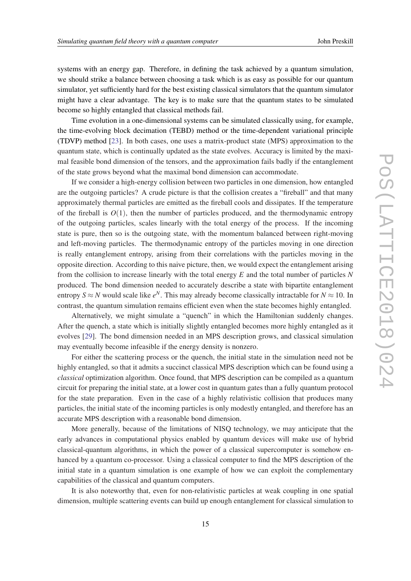systems with an energy gap. Therefore, in defining the task achieved by a quantum simulation, we should strike a balance between choosing a task which is as easy as possible for our quantum simulator, yet sufficiently hard for the best existing classical simulators that the quantum simulator might have a clear advantage. The key is to make sure that the quantum states to be simulated become so highly entangled that classical methods fail.

Time evolution in a one-dimensional systems can be simulated classically using, for example, the time-evolving block decimation (TEBD) method or the time-dependent variational principle (TDVP) method [\[23](#page-19-0)]. In both cases, one uses a matrix-product state (MPS) approximation to the quantum state, which is continually updated as the state evolves. Accuracy is limited by the maximal feasible bond dimension of the tensors, and the approximation fails badly if the entanglement of the state grows beyond what the maximal bond dimension can accommodate.

If we consider a high-energy collision between two particles in one dimension, how entangled are the outgoing particles? A crude picture is that the collision creates a "fireball" and that many approximately thermal particles are emitted as the fireball cools and dissipates. If the temperature of the fireball is  $O(1)$ , then the number of particles produced, and the thermodynamic entropy of the outgoing particles, scales linearly with the total energy of the process. If the incoming state is pure, then so is the outgoing state, with the momentum balanced between right-moving and left-moving particles. The thermodynamic entropy of the particles moving in one direction is really entanglement entropy, arising from their correlations with the particles moving in the opposite direction. According to this naive picture, then, we would expect the entanglement arising from the collision to increase linearly with the total energy *E* and the total number of particles *N* produced. The bond dimension needed to accurately describe a state with bipartite entanglement entropy  $S \approx N$  would scale like  $e^N$ . This may already become classically intractable for  $N \approx 10$ . In contrast, the quantum simulation remains efficient even when the state becomes highly entangled.

Alternatively, we might simulate a "quench" in which the Hamiltonian suddenly changes. After the quench, a state which is initially slightly entangled becomes more highly entangled as it evolves [[29\]](#page-20-0). The bond dimension needed in an MPS description grows, and classical simulation may eventually become infeasible if the energy density is nonzero.

For either the scattering process or the quench, the initial state in the simulation need not be highly entangled, so that it admits a succinct classical MPS description which can be found using a *classical* optimization algorithm. Once found, that MPS description can be compiled as a quantum circuit for preparing the initial state, at a lower cost in quantum gates than a fully quantum protocol for the state preparation. Even in the case of a highly relativistic collision that produces many particles, the initial state of the incoming particles is only modestly entangled, and therefore has an accurate MPS description with a reasonable bond dimension.

More generally, because of the limitations of NISQ technology, we may anticipate that the early advances in computational physics enabled by quantum devices will make use of hybrid classical-quantum algorithms, in which the power of a classical supercomputer is somehow enhanced by a quantum co-processor. Using a classical computer to find the MPS description of the initial state in a quantum simulation is one example of how we can exploit the complementary capabilities of the classical and quantum computers.

It is also noteworthy that, even for non-relativistic particles at weak coupling in one spatial dimension, multiple scattering events can build up enough entanglement for classical simulation to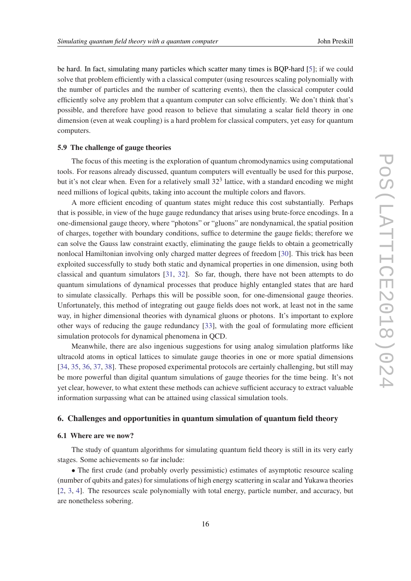be hard. In fact, simulating many particles which scatter many times is BQP-hard [\[5\]](#page-19-0); if we could solve that problem efficiently with a classical computer (using resources scaling polynomially with the number of particles and the number of scattering events), then the classical computer could efficiently solve any problem that a quantum computer can solve efficiently. We don't think that's possible, and therefore have good reason to believe that simulating a scalar field theory in one dimension (even at weak coupling) is a hard problem for classical computers, yet easy for quantum computers.

## 5.9 The challenge of gauge theories

The focus of this meeting is the exploration of quantum chromodynamics using computational tools. For reasons already discussed, quantum computers will eventually be used for this purpose, but it's not clear when. Even for a relatively small  $32<sup>3</sup>$  lattice, with a standard encoding we might need millions of logical qubits, taking into account the multiple colors and flavors.

A more efficient encoding of quantum states might reduce this cost substantially. Perhaps that is possible, in view of the huge gauge redundancy that arises using brute-force encodings. In a one-dimensional gauge theory, where "photons" or "gluons" are nondynamical, the spatial position of charges, together with boundary conditions, suffice to determine the gauge fields; therefore we can solve the Gauss law constraint exactly, eliminating the gauge fields to obtain a geometrically nonlocal Hamiltonian involving only charged matter degrees of freedom [\[30](#page-20-0)]. This trick has been exploited successfully to study both static and dynamical properties in one dimension, using both classical and quantum simulators [[31,](#page-20-0) [32](#page-20-0)]. So far, though, there have not been attempts to do quantum simulations of dynamical processes that produce highly entangled states that are hard to simulate classically. Perhaps this will be possible soon, for one-dimensional gauge theories. Unfortunately, this method of integrating out gauge fields does not work, at least not in the same way, in higher dimensional theories with dynamical gluons or photons. It's important to explore other ways of reducing the gauge redundancy [[33\]](#page-20-0), with the goal of formulating more efficient simulation protocols for dynamical phenomena in QCD.

Meanwhile, there are also ingenious suggestions for using analog simulation platforms like ultracold atoms in optical lattices to simulate gauge theories in one or more spatial dimensions [[34,](#page-20-0) [35](#page-20-0), [36](#page-20-0), [37](#page-20-0), [38](#page-20-0)]. These proposed experimental protocols are certainly challenging, but still may be more powerful than digital quantum simulations of gauge theories for the time being. It's not yet clear, however, to what extent these methods can achieve sufficient accuracy to extract valuable information surpassing what can be attained using classical simulation tools.

## 6. Challenges and opportunities in quantum simulation of quantum field theory

#### 6.1 Where are we now?

The study of quantum algorithms for simulating quantum field theory is still in its very early stages. Some achievements so far include:

• The first crude (and probably overly pessimistic) estimates of asymptotic resource scaling (number of qubits and gates) for simulations of high energy scattering in scalar and Yukawa theories [[2](#page-19-0), [3,](#page-19-0) [4\]](#page-19-0). The resources scale polynomially with total energy, particle number, and accuracy, but are nonetheless sobering.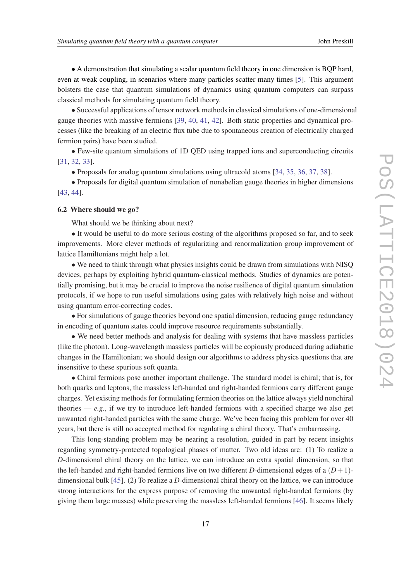• A demonstration that simulating a scalar quantum field theory in one dimension is BQP hard, even at weak coupling, in scenarios where many particles scatter many times [\[5\]](#page-19-0). This argument bolsters the case that quantum simulations of dynamics using quantum computers can surpass classical methods for simulating quantum field theory.

• Successful applications of tensor network methods in classical simulations of one-dimensional gauge theories with massive fermions [\[39](#page-20-0), [40](#page-20-0), [41,](#page-20-0) [42\]](#page-20-0). Both static properties and dynamical processes (like the breaking of an electric flux tube due to spontaneous creation of electrically charged fermion pairs) have been studied.

• Few-site quantum simulations of 1D QED using trapped ions and superconducting circuits [[31,](#page-20-0) [32](#page-20-0), [33\]](#page-20-0).

• Proposals for analog quantum simulations using ultracold atoms [\[34](#page-20-0), [35,](#page-20-0) [36](#page-20-0), [37](#page-20-0), [38\]](#page-20-0).

• Proposals for digital quantum simulation of nonabelian gauge theories in higher dimensions [[43,](#page-20-0) [44](#page-20-0)].

## 6.2 Where should we go?

What should we be thinking about next?

• It would be useful to do more serious costing of the algorithms proposed so far, and to seek improvements. More clever methods of regularizing and renormalization group improvement of lattice Hamiltonians might help a lot.

• We need to think through what physics insights could be drawn from simulations with NISQ devices, perhaps by exploiting hybrid quantum-classical methods. Studies of dynamics are potentially promising, but it may be crucial to improve the noise resilience of digital quantum simulation protocols, if we hope to run useful simulations using gates with relatively high noise and without using quantum error-correcting codes.

• For simulations of gauge theories beyond one spatial dimension, reducing gauge redundancy in encoding of quantum states could improve resource requirements substantially.

• We need better methods and analysis for dealing with systems that have massless particles (like the photon). Long-wavelength massless particles will be copiously produced during adiabatic changes in the Hamiltonian; we should design our algorithms to address physics questions that are insensitive to these spurious soft quanta.

• Chiral fermions pose another important challenge. The standard model is chiral; that is, for both quarks and leptons, the massless left-handed and right-handed fermions carry different gauge charges. Yet existing methods for formulating fermion theories on the lattice always yield nonchiral theories  $-e.g.,$  if we try to introduce left-handed fermions with a specified charge we also get unwanted right-handed particles with the same charge. We've been facing this problem for over 40 years, but there is still no accepted method for regulating a chiral theory. That's embarrassing.

This long-standing problem may be nearing a resolution, guided in part by recent insights regarding symmetry-protected topological phases of matter. Two old ideas are: (1) To realize a *D*-dimensional chiral theory on the lattice, we can introduce an extra spatial dimension, so that the left-handed and right-handed fermions live on two different *D*-dimensional edges of a  $(D+1)$ dimensional bulk [\[45](#page-20-0)]. (2) To realize a *D*-dimensional chiral theory on the lattice, we can introduce strong interactions for the express purpose of removing the unwanted right-handed fermions (by giving them large masses) while preserving the massless left-handed fermions [\[46](#page-20-0)]. It seems likely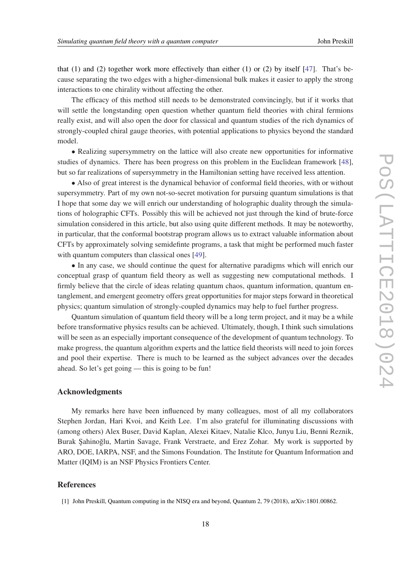<span id="page-18-0"></span>that (1) and (2) together work more effectively than either (1) or (2) by itself  $[47]$  $[47]$ . That's because separating the two edges with a higher-dimensional bulk makes it easier to apply the strong interactions to one chirality without affecting the other.

The efficacy of this method still needs to be demonstrated convincingly, but if it works that will settle the longstanding open question whether quantum field theories with chiral fermions really exist, and will also open the door for classical and quantum studies of the rich dynamics of strongly-coupled chiral gauge theories, with potential applications to physics beyond the standard model.

• Realizing supersymmetry on the lattice will also create new opportunities for informative studies of dynamics. There has been progress on this problem in the Euclidean framework [[48\]](#page-20-0), but so far realizations of supersymmetry in the Hamiltonian setting have received less attention.

• Also of great interest is the dynamical behavior of conformal field theories, with or without supersymmetry. Part of my own not-so-secret motivation for pursuing quantum simulations is that I hope that some day we will enrich our understanding of holographic duality through the simulations of holographic CFTs. Possibly this will be achieved not just through the kind of brute-force simulation considered in this article, but also using quite different methods. It may be noteworthy, in particular, that the conformal bootstrap program allows us to extract valuable information about CFTs by approximately solving semidefinte programs, a task that might be performed much faster with quantum computers than classical ones [\[49](#page-20-0)].

• In any case, we should continue the quest for alternative paradigms which will enrich our conceptual grasp of quantum field theory as well as suggesting new computational methods. I firmly believe that the circle of ideas relating quantum chaos, quantum information, quantum entanglement, and emergent geometry offers great opportunities for major steps forward in theoretical physics; quantum simulation of strongly-coupled dynamics may help to fuel further progress.

Quantum simulation of quantum field theory will be a long term project, and it may be a while before transformative physics results can be achieved. Ultimately, though, I think such simulations will be seen as an especially important consequence of the development of quantum technology. To make progress, the quantum algorithm experts and the lattice field theorists will need to join forces and pool their expertise. There is much to be learned as the subject advances over the decades ahead. So let's get going — this is going to be fun!

#### Acknowledgments

My remarks here have been influenced by many colleagues, most of all my collaborators Stephen Jordan, Hari Kvoi, and Keith Lee. I'm also grateful for illuminating discussions with (among others) Alex Buser, David Kaplan, Alexei Kitaev, Natalie Klco, Junyu Liu, Benni Reznik, Burak Şahinoğlu, Martin Savage, Frank Verstraete, and Erez Zohar. My work is supported by ARO, DOE, IARPA, NSF, and the Simons Foundation. The Institute for Quantum Information and Matter (IQIM) is an NSF Physics Frontiers Center.

## References

<sup>[1]</sup> John Preskill, Quantum computing in the NISQ era and beyond, Quantum 2, 79 (2018), arXiv:1801.00862.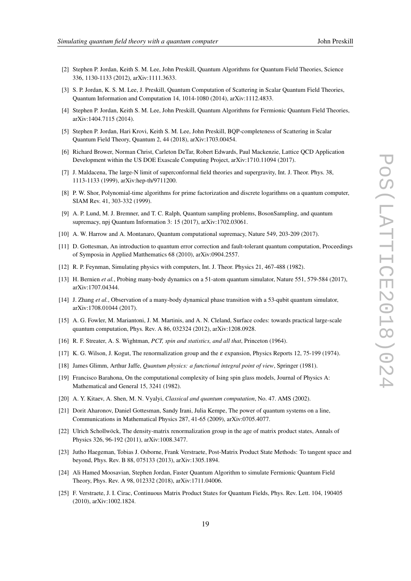- <span id="page-19-0"></span>[2] Stephen P. Jordan, Keith S. M. Lee, John Preskill, Quantum Algorithms for Quantum Field Theories, Science 336, 1130-1133 (2012), arXiv:1111.3633.
- [3] S. P. Jordan, K. S. M. Lee, J. Preskill, Quantum Computation of Scattering in Scalar Quantum Field Theories, Quantum Information and Computation 14, 1014-1080 (2014), arXiv:1112.4833.
- [4] Stephen P. Jordan, Keith S. M. Lee, John Preskill, Quantum Algorithms for Fermionic Quantum Field Theories, arXiv:1404.7115 (2014).
- [5] Stephen P. Jordan, Hari Krovi, Keith S. M. Lee, John Preskill, BQP-completeness of Scattering in Scalar Quantum Field Theory, Quantum 2, 44 (2018), arXiv:1703.00454.
- [6] Richard Brower, Norman Christ, Carleton DeTar, Robert Edwards, Paul Mackenzie, Lattice QCD Application Development within the US DOE Exascale Computing Project, arXiv:1710.11094 (2017).
- [7] J. Maldacena, The large-N limit of superconformal field theories and supergravity, Int. J. Theor. Phys. 38, 1113-1133 (1999), arXiv:hep-th/9711200.
- [8] P. W. Shor, Polynomial-time algorithms for prime factorization and discrete logarithms on a quantum computer, SIAM Rev. 41, 303-332 (1999).
- [9] A. P. Lund, M. J. Bremner, and T. C. Ralph, Quantum sampling problems, BosonSampling, and quantum supremacy, npj Quantum Information 3: 15 (2017), arXiv:1702.03061.
- [10] A. W. Harrow and A. Montanaro, Quantum computational supremacy, Nature 549, 203-209 (2017).
- [11] D. Gottesman, An introduction to quantum error correction and fault-tolerant quantum computation, Proceedings of Symposia in Applied Matthematics 68 (2010), arXiv:0904.2557.
- [12] R. P. Feynman, Simulating physics with computers, Int. J. Theor. Physics 21, 467-488 (1982).
- [13] H. Bernien *et al.*, Probing many-body dynamics on a 51-atom quantum simulator, Nature 551, 579-584 (2017), arXiv:1707.04344.
- [14] J. Zhang *et al.*, Observation of a many-body dynamical phase transition with a 53-qubit quantum simulator, arXiv:1708.01044 (2017).
- [15] A. G. Fowler, M. Mariantoni, J. M. Martinis, and A. N. Cleland, Surface codes: towards practical large-scale quantum computation, Phys. Rev. A 86, 032324 (2012), arXiv:1208.0928.
- [16] R. F. Streater, A. S. Wightman, *PCT, spin and statistics, and all that*, Princeton (1964).
- [17] K. G. Wilson, J. Kogut, The renormalization group and the ε expansion, Physics Reports 12, 75-199 (1974).
- [18] James Glimm, Arthur Jaffe, *Quantum physics: a functional integral point of view*, Springer (1981).
- [19] Francisco Barahona, On the computational complexity of Ising spin glass models, Journal of Physics A: Mathematical and General 15, 3241 (1982).
- [20] A. Y. Kitaev, A. Shen, M. N. Vyalyi, *Classical and quantum computation*, No. 47. AMS (2002).
- [21] Dorit Aharonov, Daniel Gottesman, Sandy Irani, Julia Kempe, The power of quantum systems on a line, Communications in Mathematical Physics 287, 41-65 (2009), arXiv:0705.4077.
- [22] Ulrich Schollwöck, The density-matrix renormalization group in the age of matrix product states, Annals of Physics 326, 96-192 (2011), arXiv:1008.3477.
- [23] Jutho Haegeman, Tobias J. Osborne, Frank Verstraete, Post-Matrix Product State Methods: To tangent space and beyond, Phys. Rev. B 88, 075133 (2013), arXiv:1305.1894.
- [24] Ali Hamed Moosavian, Stephen Jordan, Faster Quantum Algorithm to simulate Fermionic Quantum Field Theory, Phys. Rev. A 98, 012332 (2018), arXiv:1711.04006.
- [25] F. Verstraete, J. I. Cirac, Continuous Matrix Product States for Quantum Fields, Phys. Rev. Lett. 104, 190405 (2010), arXiv:1002.1824.